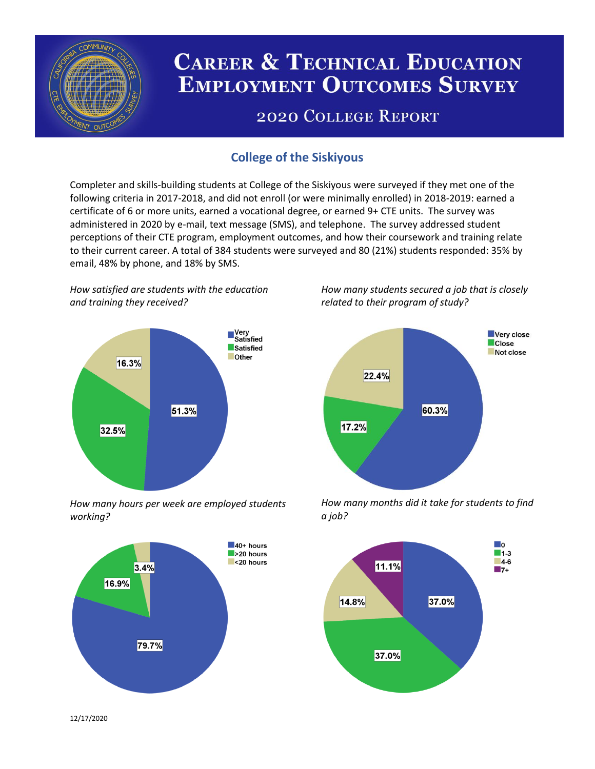

# **CAREER & TECHNICAL EDUCATION EMPLOYMENT OUTCOMES SURVEY**

## **2020 COLLEGE REPORT**

## **College of the Siskiyous**

Completer and skills-building students at College of the Siskiyous were surveyed if they met one of the following criteria in 2017-2018, and did not enroll (or were minimally enrolled) in 2018-2019: earned a certificate of 6 or more units, earned a vocational degree, or earned 9+ CTE units. The survey was administered in 2020 by e-mail, text message (SMS), and telephone. The survey addressed student perceptions of their CTE program, employment outcomes, and how their coursework and training relate to their current career. A total of 384 students were surveyed and 80 (21%) students responded: 35% by email, 48% by phone, and 18% by SMS.

*How satisfied are students with the education and training they received?*



*How many hours per week are employed students working?*



*How many students secured a job that is closely related to their program of study?*



*How many months did it take for students to find a job?*